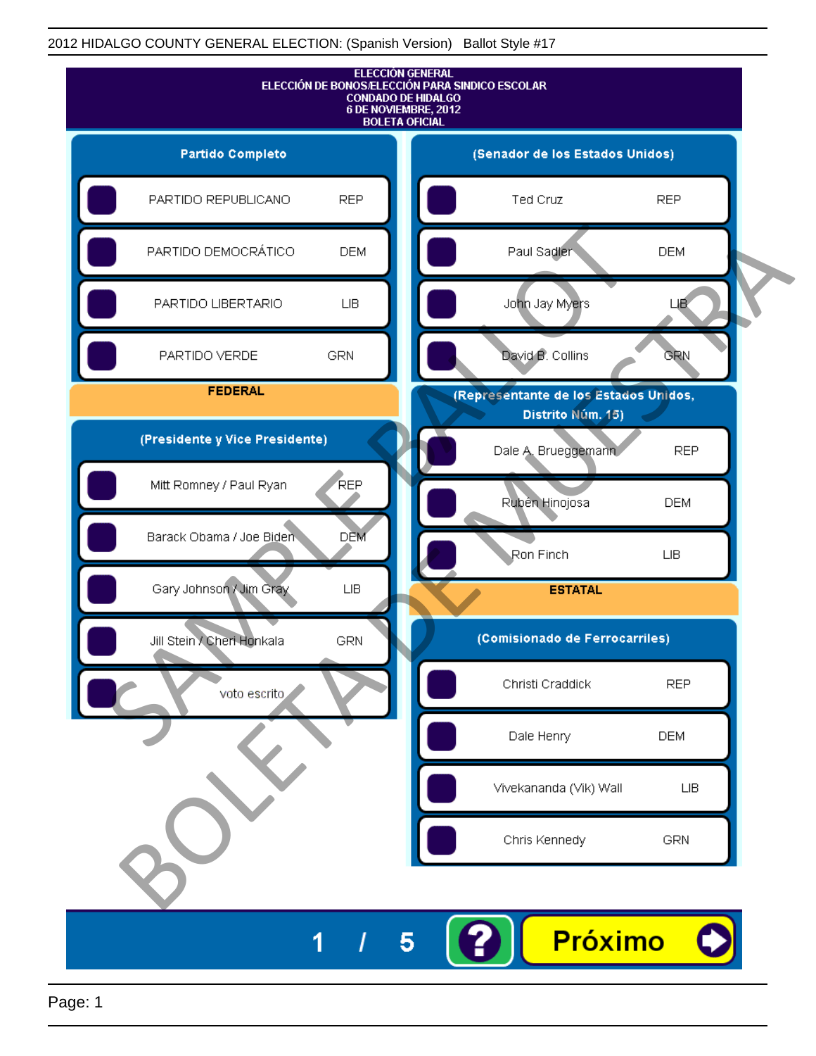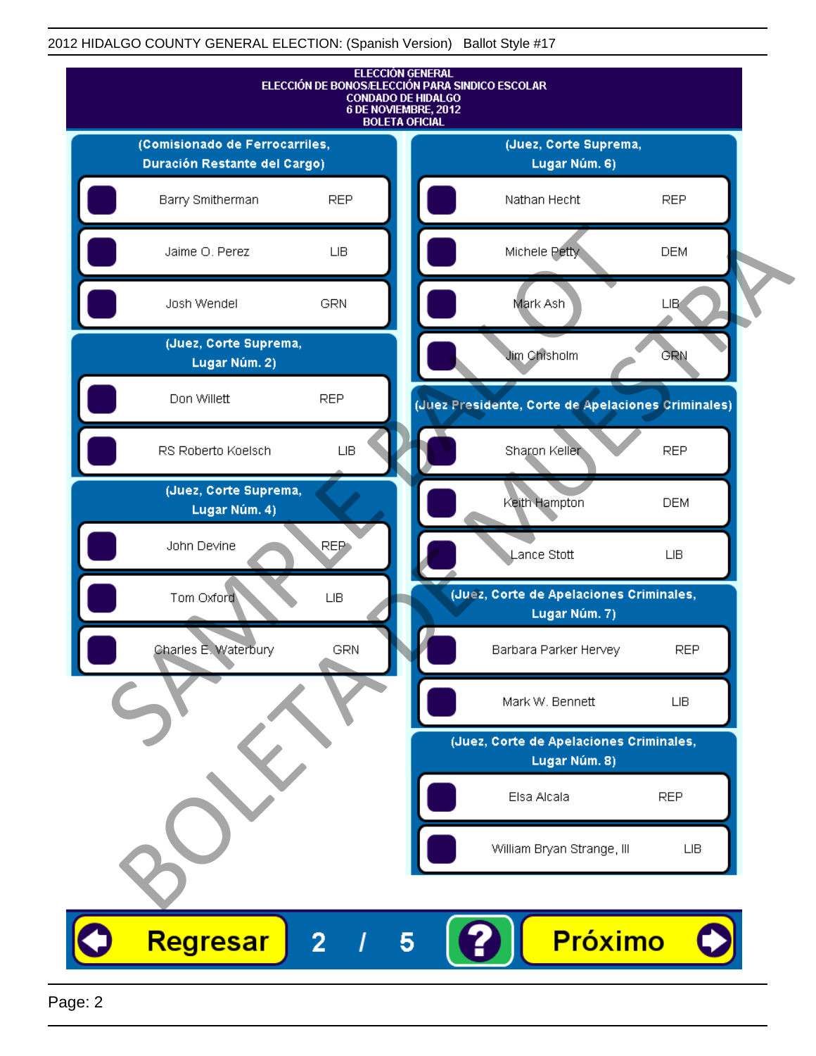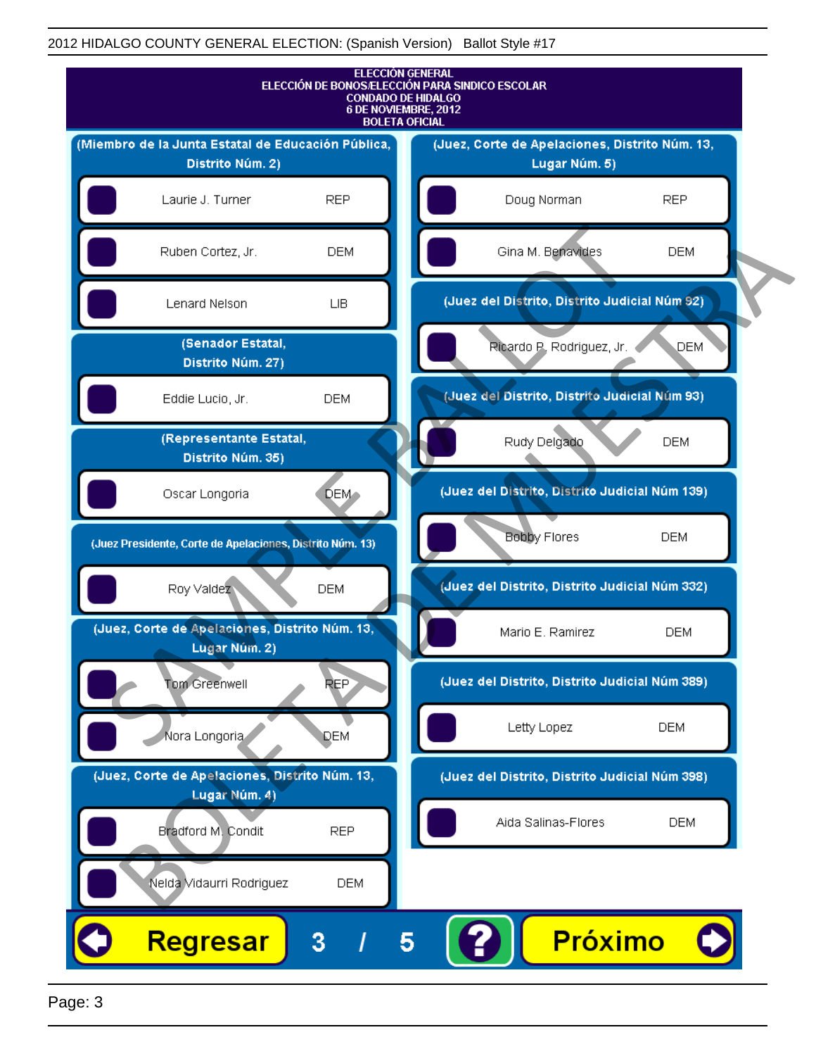

Page: 3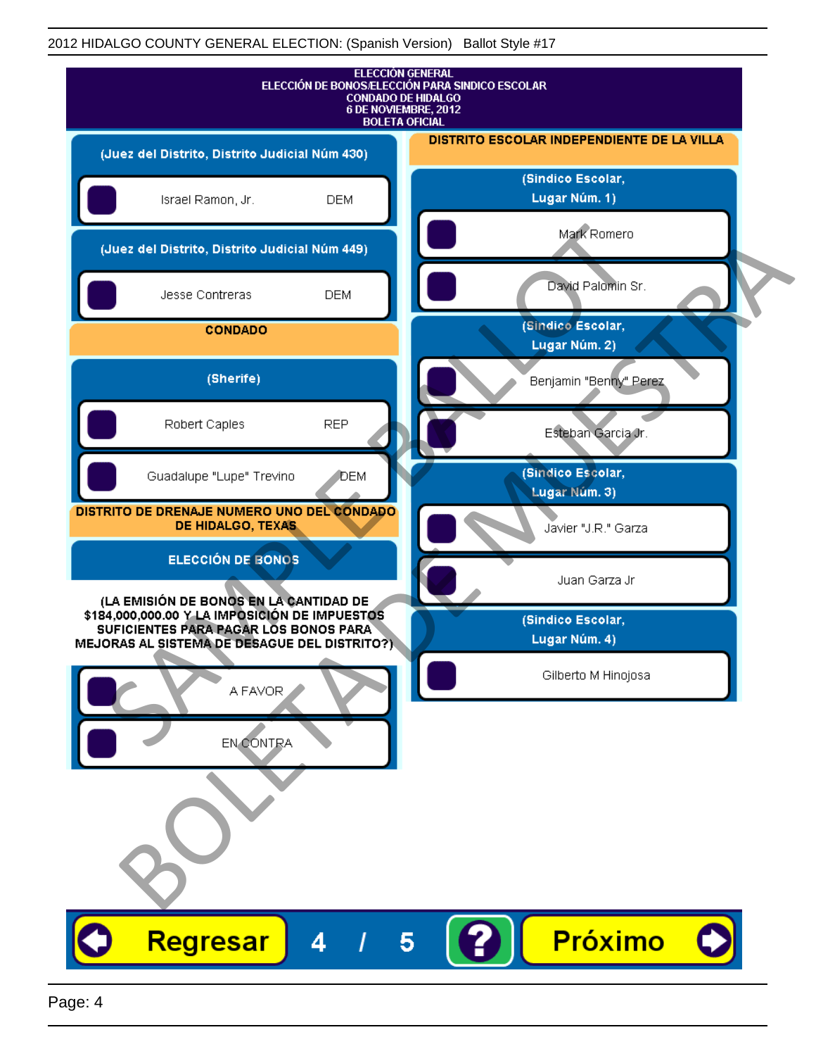| <b>ELECCIÓN GENERAL</b><br>ELECCIÓN DE BONOS/ELECCIÓN PARA SINDICO ESCOLAR<br><b>CONDADO DE HIDALGO</b><br>6 DE NOVIEMBRE, 2012<br><b>BOLETA OFICIAL</b>                         |                                            |
|----------------------------------------------------------------------------------------------------------------------------------------------------------------------------------|--------------------------------------------|
| (Juez del Distrito, Distrito Judicial Núm 430)                                                                                                                                   | DISTRITO ESCOLAR INDEPENDIENTE DE LA VILLA |
| Israel Ramon, Jr.<br><b>DEM</b>                                                                                                                                                  | (Sindico Escolar,<br>Lugar Núm. 1)         |
| (Juez del Distrito, Distrito Judicial Núm 449)                                                                                                                                   | Mark Romero                                |
| Jesse Contreras<br><b>DEM</b>                                                                                                                                                    | David Palomin Sr.                          |
| <b>CONDADO</b>                                                                                                                                                                   | (Sindico Escolar,<br>Lugar Núm. 2)         |
| (Sherife)                                                                                                                                                                        | Benjamin "Benny" Perez                     |
| <b>REP</b><br>Robert Caples                                                                                                                                                      | Esteban Garcia Jr.                         |
| Guadalupe "Lupe" Trevino<br><b>DEM</b>                                                                                                                                           | (Sindico Escolar,<br>Lugar Núm. 3)         |
| DISTRITO DE DRENAJE NUMERO UNO DEL CONDADO<br>DE HIDALGO, TEXAS                                                                                                                  | Javier "J.R." Garza                        |
| ELECCIÓN DE BONOS                                                                                                                                                                | Juan Garza Jr                              |
| (LA EMISIÓN DE BONOS EN LA CANTIDAD DE<br>\$184,000,000.00 Y LA IMPOSICIÓN DE IMPUESTOS<br>SUFICIENTES PARA PAGAR LOS BONOS PARA<br>MEJORAS AL SISTEMA DE DESAGUE DEL DISTRITO?) | (Sindico Escolar,<br>Lugar Núm. 4)         |
| A FAVOR                                                                                                                                                                          | Gilberto M Hinojosa                        |
| EN CONTRA                                                                                                                                                                        |                                            |
|                                                                                                                                                                                  |                                            |
| Regresar<br>4                                                                                                                                                                    | Próximo<br>5                               |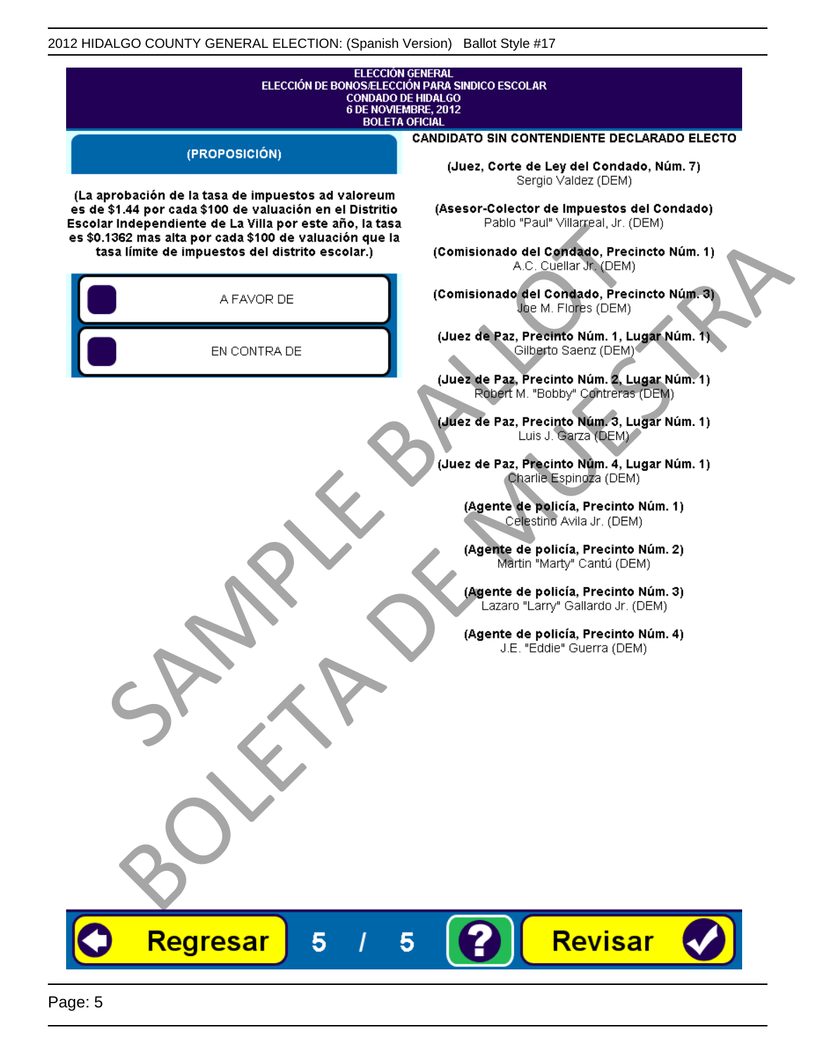| <b>ELECCIÓN GENERAL</b><br>ELECCIÓN DE BONOS/ELECCIÓN PARA SINDICO ESCOLAR<br><b>CONDADO DE HIDALGO</b><br>6 DE NOVIEMBRE, 2012<br><b>BOLETA OFICIAL</b>                                                                                                                                |                                                                                                                                                                                                                                                                                                                                                                                                                                                                                 |
|-----------------------------------------------------------------------------------------------------------------------------------------------------------------------------------------------------------------------------------------------------------------------------------------|---------------------------------------------------------------------------------------------------------------------------------------------------------------------------------------------------------------------------------------------------------------------------------------------------------------------------------------------------------------------------------------------------------------------------------------------------------------------------------|
| (PROPOSICIÓN)                                                                                                                                                                                                                                                                           | <b>CANDIDATO SIN CONTENDIENTE DECLARADO ELECTO</b><br>(Juez, Corte de Ley del Condado, Núm. 7)<br>Sergio Valdez (DEM)                                                                                                                                                                                                                                                                                                                                                           |
| (La aprobación de la tasa de impuestos ad valoreum<br>es de \$1.44 por cada \$100 de valuación en el Distritio<br>Escolar Independiente de La Villa por este año, la tasa<br>es \$0.1362 mas alta por cada \$100 de valuación que la<br>tasa límite de impuestos del distrito escolar.) | (Asesor-Colector de Impuestos del Condado)<br>Pablo "Paul" Villagreal, Jr. (DEM)<br>(Comisionado del Condado, Precincto Núm. 1)<br>A.C. Cuellar Jr. (DEM)                                                                                                                                                                                                                                                                                                                       |
| A FAVOR DE                                                                                                                                                                                                                                                                              | (Comisionado del Condado, Precincto Núm. 3)<br>Joe M. Flores (DEM)                                                                                                                                                                                                                                                                                                                                                                                                              |
| EN CONTRA DE                                                                                                                                                                                                                                                                            | (Juez de Paz, Precinto Núm. 1, Lugar Núm. 1)<br>Gilberto Saenz (DEM) <sup>®</sup><br>(Juez de Paz, Precinto Núm. 2, Lugar Núm. 1)                                                                                                                                                                                                                                                                                                                                               |
|                                                                                                                                                                                                                                                                                         | Robert M. "Bobby" Contreras (DEM)<br>(Juez de Paz, Precinto Núm. 3, Lugar Núm. 1)<br>Luis J. Garza (DEM)<br>(Juez de Paz, Precinto Núm. 4, Lugar Núm. 1)<br>Charlie Espingza (DEM)<br>(Agente de policía, Precinto Núm. 1)<br>Celestino Avila Jr. (DEM)<br>(Agente de policía, Precinto Núm. 2)<br>Martin "Marty" Cantú (DEM)<br>(Agente de policía, Precinto Núm. 3)<br>Lazaro "Larry" Gallardo Jr. (DEM)<br>(Agente de policía, Precinto Núm. 4)<br>J.E. "Eddie" Guerra (DEM) |
| Regresar<br>5                                                                                                                                                                                                                                                                           | Revisar<br>5                                                                                                                                                                                                                                                                                                                                                                                                                                                                    |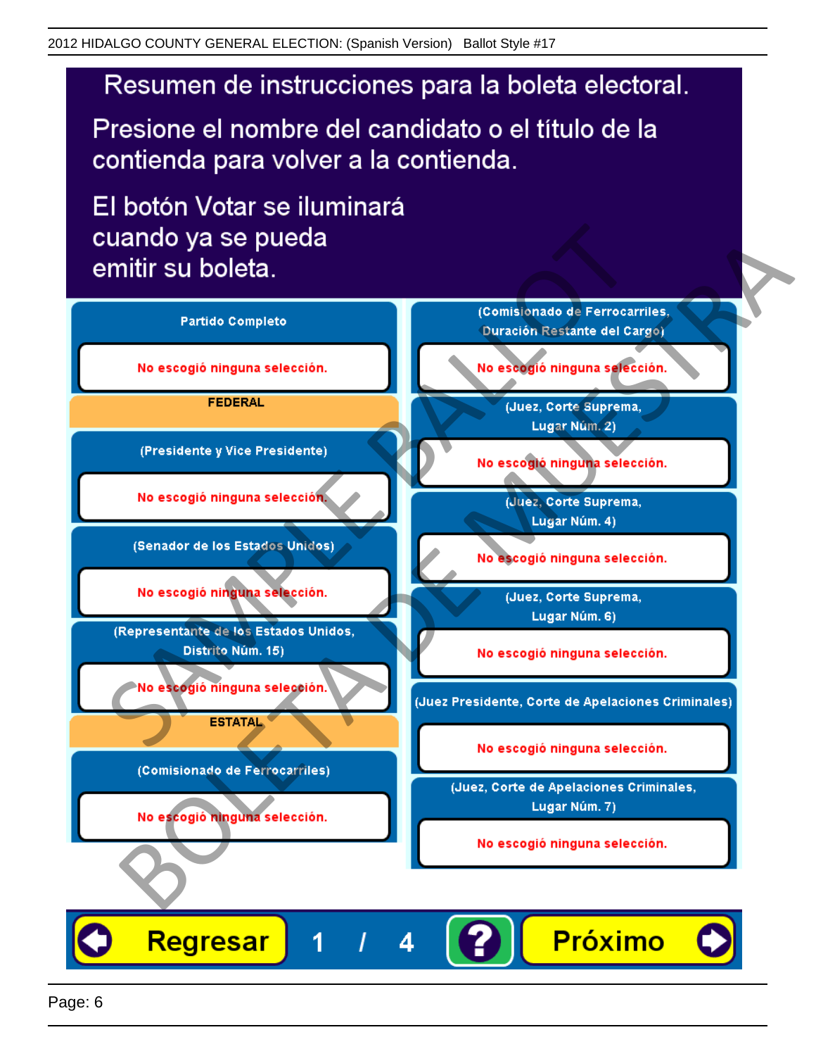Presione el nombre del candidato o el título de la contienda para volver a la contienda.

El botón Votar se iluminará

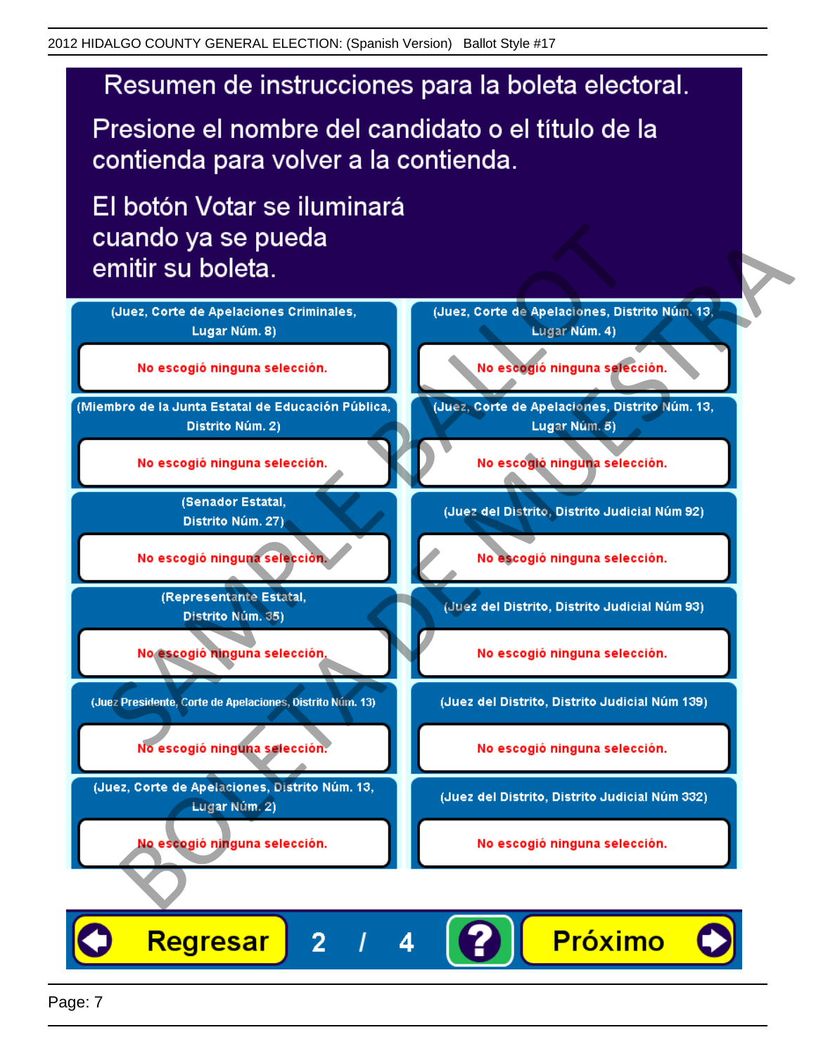Presione el nombre del candidato o el título de la contienda para volver a la contienda.

El botón Votar se iluminará



Regresar **Próximo**  $\overline{2}$ 4

Page: 7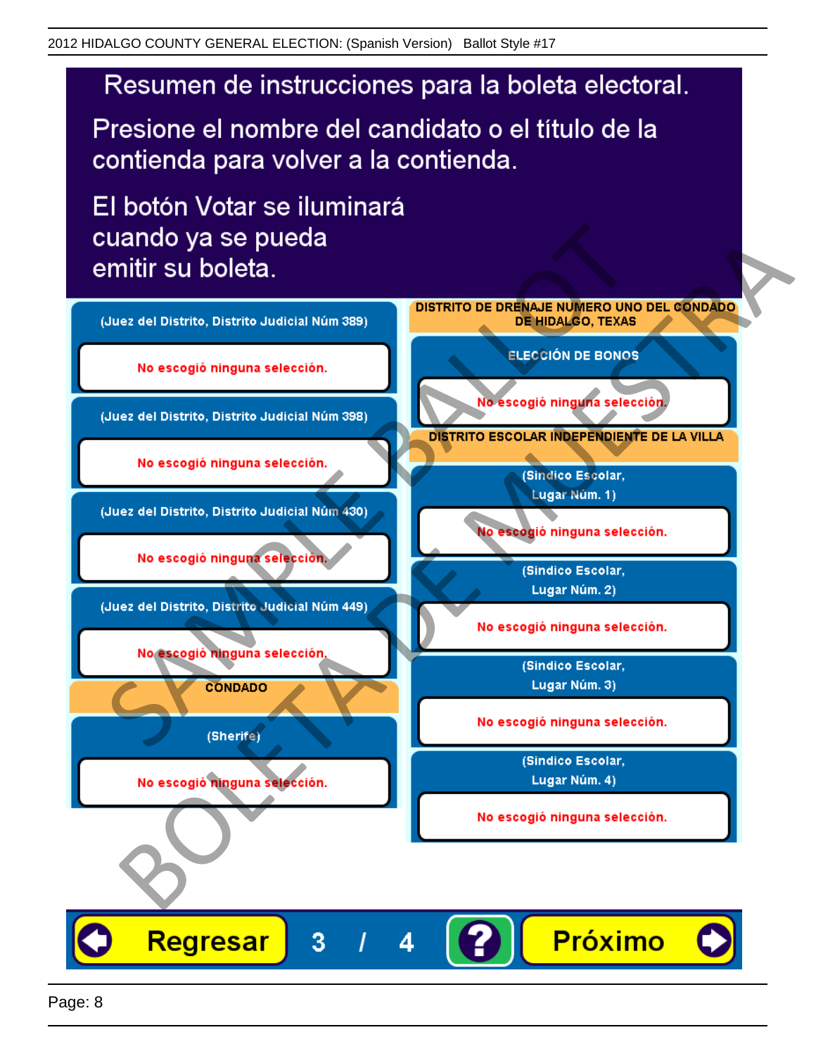Presione el nombre del candidato o el título de la contienda para volver a la contienda.

El botón Votar se iluminará